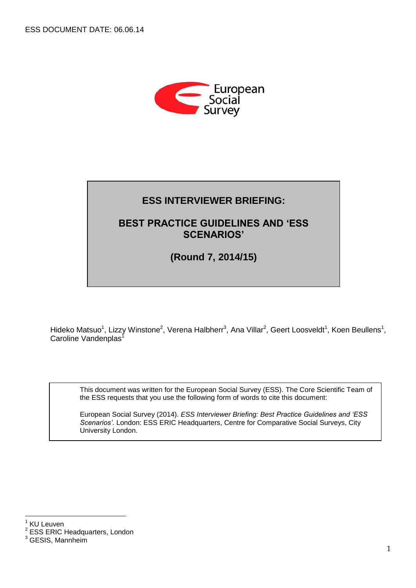

# **ESS INTERVIEWER BRIEFING:**

## **BEST PRACTICE GUIDELINES AND 'ESS SCENARIOS'**

#### **QUESTIONNAIRE CONTENTS (Round 7, 2014/15)**

Hideko Matsuo<sup>1</sup>, Lizzy Winstone<sup>2</sup>, Verena Halbherr<sup>3</sup>, Ana Villar<sup>2</sup>, Geert Loosveldt<sup>1</sup>, Koen Beullens<sup>1</sup>, Caroline Vandenplas<sup>1</sup>

This document was written for the European Social Survey (ESS). The Core Scientific Team of the ESS requests that you use the following form of words to cite this document:

European Social Survey (2014). *ESS Interviewer Briefing: Best Practice Guidelines and 'ESS Scenarios'*. London: ESS ERIC Headquarters, Centre for Comparative Social Surveys, City University London.

 $\frac{1}{1}$ KU Leuven

 $2$  ESS ERIC Headquarters, London

 $3$  GESIS, Mannheim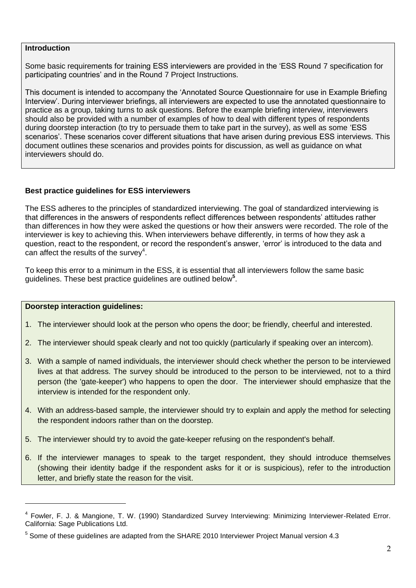#### **Introduction**

Some basic requirements for training ESS interviewers are provided in the 'ESS Round 7 specification for participating countries' and in the Round 7 Project Instructions.

This document is intended to accompany the 'Annotated Source Questionnaire for use in Example Briefing Interview'. During interviewer briefings, all interviewers are expected to use the annotated questionnaire to practice as a group, taking turns to ask questions. Before the example briefing interview, interviewers should also be provided with a number of examples of how to deal with different types of respondents during doorstep interaction (to try to persuade them to take part in the survey), as well as some 'ESS scenarios'. These scenarios cover different situations that have arisen during previous ESS interviews. This document outlines these scenarios and provides points for discussion, as well as guidance on what interviewers should do.

## **Best practice guidelines for ESS interviewers**

The ESS adheres to the principles of standardized interviewing. The goal of standardized interviewing is that differences in the answers of respondents reflect differences between respondents' attitudes rather than differences in how they were asked the questions or how their answers were recorded. The role of the interviewer is key to achieving this. When interviewers behave differently, in terms of how they ask a question, react to the respondent, or record the respondent's answer, 'error' is introduced to the data and can affect the results of the survey<sup>4</sup>.

To keep this error to a minimum in the ESS, it is essential that all interviewers follow the same basic guidelines. These best practice guidelines are outlined below**<sup>5</sup>** .

#### **Doorstep interaction guidelines:**

-

- 1. The interviewer should look at the person who opens the door; be friendly, cheerful and interested.
- 2. The interviewer should speak clearly and not too quickly (particularly if speaking over an intercom).
- 3. With a sample of named individuals, the interviewer should check whether the person to be interviewed lives at that address. The survey should be introduced to the person to be interviewed, not to a third person (the 'gate-keeper') who happens to open the door. The interviewer should emphasize that the interview is intended for the respondent only.
- 4. With an address-based sample, the interviewer should try to explain and apply the method for selecting the respondent indoors rather than on the doorstep.
- 5. The interviewer should try to avoid the gate-keeper refusing on the respondent's behalf.
- 6. If the interviewer manages to speak to the target respondent, they should introduce themselves (showing their identity badge if the respondent asks for it or is suspicious), refer to the introduction letter, and briefly state the reason for the visit.

<sup>&</sup>lt;sup>4</sup> Fowler, F. J. & Mangione, T. W. (1990) Standardized Survey Interviewing: Minimizing Interviewer-Related Error. California: Sage Publications Ltd.

 $<sup>5</sup>$  Some of these guidelines are adapted from the SHARE 2010 Interviewer Project Manual version 4.3</sup>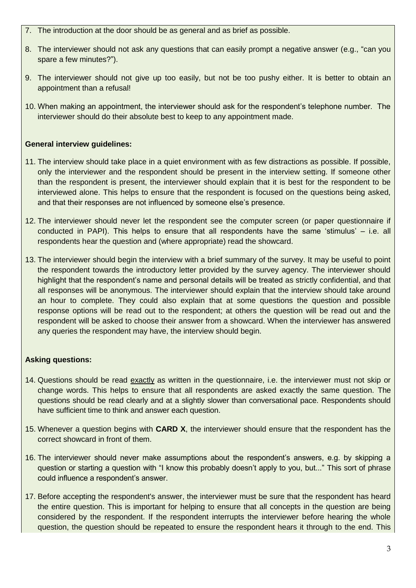- 7. The introduction at the door should be as general and as brief as possible.
- 8. The interviewer should not ask any questions that can easily prompt a negative answer (e.g., "can you spare a few minutes?").
- 9. The interviewer should not give up too easily, but not be too pushy either. It is better to obtain an appointment than a refusal!
- 10. When making an appointment, the interviewer should ask for the respondent's telephone number. The interviewer should do their absolute best to keep to any appointment made.

## **General interview guidelines:**

- 11. The interview should take place in a quiet environment with as few distractions as possible. If possible, only the interviewer and the respondent should be present in the interview setting. If someone other than the respondent is present, the interviewer should explain that it is best for the respondent to be interviewed alone. This helps to ensure that the respondent is focused on the questions being asked, and that their responses are not influenced by someone else's presence.
- 12. The interviewer should never let the respondent see the computer screen (or paper questionnaire if conducted in PAPI). This helps to ensure that all respondents have the same 'stimulus' – i.e. all respondents hear the question and (where appropriate) read the showcard.
- 13. The interviewer should begin the interview with a brief summary of the survey. It may be useful to point the respondent towards the introductory letter provided by the survey agency. The interviewer should highlight that the respondent's name and personal details will be treated as strictly confidential, and that all responses will be anonymous. The interviewer should explain that the interview should take around an hour to complete. They could also explain that at some questions the question and possible response options will be read out to the respondent; at others the question will be read out and the respondent will be asked to choose their answer from a showcard. When the interviewer has answered any queries the respondent may have, the interview should begin.

## **Asking questions:**

- 14. Questions should be read exactly as written in the questionnaire, i.e. the interviewer must not skip or change words. This helps to ensure that all respondents are asked exactly the same question. The questions should be read clearly and at a slightly slower than conversational pace. Respondents should have sufficient time to think and answer each question.
- 15. Whenever a question begins with **CARD X**, the interviewer should ensure that the respondent has the correct showcard in front of them.
- 16. The interviewer should never make assumptions about the respondent's answers, e.g. by skipping a question or starting a question with "I know this probably doesn't apply to you, but..." This sort of phrase could influence a respondent's answer.
- 17. Before accepting the respondent's answer, the interviewer must be sure that the respondent has heard the entire question. This is important for helping to ensure that all concepts in the question are being considered by the respondent. If the respondent interrupts the interviewer before hearing the whole question, the question should be repeated to ensure the respondent hears it through to the end. This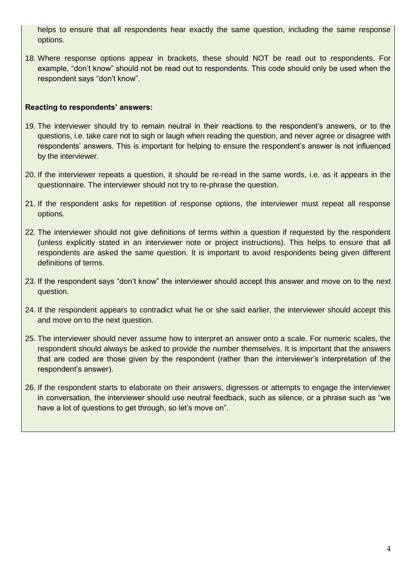helps to ensure that all respondents hear exactly the same question, including the same response options.

18. Where response options appear in brackets, these should NOT be read out to respondents. For example, "don't know" should not be read out to respondents. This code should only be used when the respondent says "don't know".

#### **Reacting to respondents' answers:**

- 19. The interviewer should try to remain neutral in their reactions to the respondent's answers, or to the questions, i.e. take care not to sigh or laugh when reading the question, and never agree or disagree with respondents' answers. This is important for helping to ensure the respondent's answer is not influenced by the interviewer.
- 20. If the interviewer repeats a question, it should be re-read in the same words, i.e. as it appears in the questionnaire. The interviewer should not try to re-phrase the question.
- 21. If the respondent asks for repetition of response options, the interviewer must repeat all response options.
- 22. The interviewer should not give definitions of terms within a question if requested by the respondent (unless explicitly stated in an interviewer note or project instructions). This helps to ensure that all respondents are asked the same question. It is important to avoid respondents being given different definitions of terms.
- 23. If the respondent says "don't know" the interviewer should accept this answer and move on to the next question.
- 24. If the respondent appears to contradict what he or she said earlier, the interviewer should accept this and move on to the next question.
- 25. The interviewer should never assume how to interpret an answer onto a scale. For numeric scales, the respondent should always be asked to provide the number themselves. It is important that the answers that are coded are those given by the respondent (rather than the interviewer's interpretation of the respondent's answer).
- 26. If the respondent starts to elaborate on their answers, digresses or attempts to engage the interviewer in conversation, the interviewer should use neutral feedback, such as silence, or a phrase such as "we have a lot of questions to get through, so let's move on".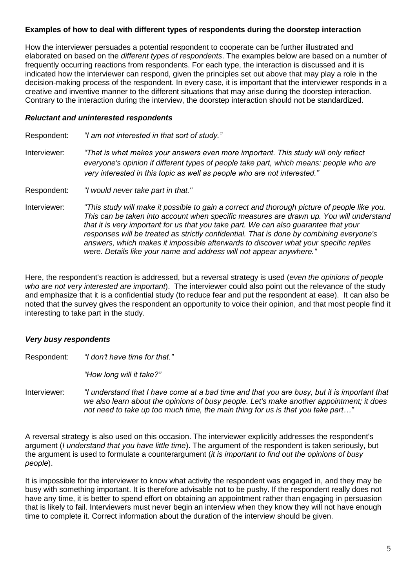## **Examples of how to deal with different types of respondents during the doorstep interaction**

How the interviewer persuades a potential respondent to cooperate can be further illustrated and elaborated on based on the *different types of respondents*. The examples below are based on a number of frequently occurring reactions from respondents. For each type, the interaction is discussed and it is indicated how the interviewer can respond, given the principles set out above that may play a role in the decision-making process of the respondent. In every case, it is important that the interviewer responds in a creative and inventive manner to the different situations that may arise during the doorstep interaction. Contrary to the interaction during the interview, the doorstep interaction should not be standardized.

#### *Reluctant and uninterested respondents*

Respondent: *"I am not interested in that sort of study."* Interviewer: *"That is what makes your answers even more important. This study will only reflect everyone's opinion if different types of people take part, which means: people who are very interested in this topic as well as people who are not interested."* Respondent: *"I would never take part in that."* Interviewer: *"This study will make it possible to gain a correct and thorough picture of people like you. This can be taken into account when specific measures are drawn up. You will understand that it is very important for us that you take part. We can also guarantee that your responses will be treated as strictly confidential. That is done by combining everyone's answers, which makes it impossible afterwards to discover what your specific replies were. Details like your name and address will not appear anywhere."*

Here, the respondent's reaction is addressed, but a reversal strategy is used (*even the opinions of people who are not very interested are important*). The interviewer could also point out the relevance of the study and emphasize that it is a confidential study (to reduce fear and put the respondent at ease). It can also be noted that the survey gives the respondent an opportunity to voice their opinion, and that most people find it interesting to take part in the study.

## *Very busy respondents*

Respondent: *"I don't have time for that."*

*"How long will it take?"*

Interviewer: *"I understand that I have come at a bad time and that you are busy, but it is important that we also learn about the opinions of busy people. Let's make another appointment; it does not need to take up too much time, the main thing for us is that you take part…"*

A reversal strategy is also used on this occasion. The interviewer explicitly addresses the respondent's argument (*I understand that you have little time*). The argument of the respondent is taken seriously, but the argument is used to formulate a counterargument (*it is important to find out the opinions of busy people*).

It is impossible for the interviewer to know what activity the respondent was engaged in, and they may be busy with something important. It is therefore advisable not to be pushy. If the respondent really does not have any time, it is better to spend effort on obtaining an appointment rather than engaging in persuasion that is likely to fail. Interviewers must never begin an interview when they know they will not have enough time to complete it. Correct information about the duration of the interview should be given.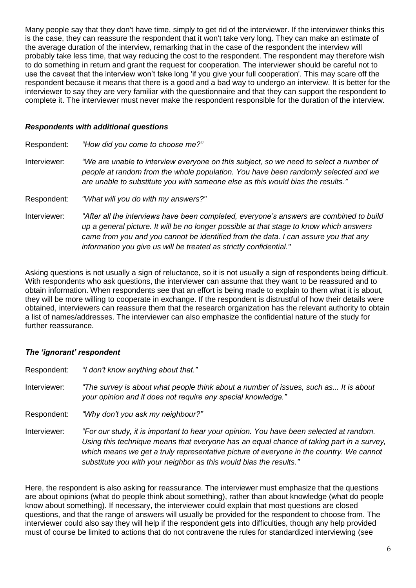Many people say that they don't have time, simply to get rid of the interviewer. If the interviewer thinks this is the case, they can reassure the respondent that it won't take very long. They can make an estimate of the average duration of the interview, remarking that in the case of the respondent the interview will probably take less time, that way reducing the cost to the respondent. The respondent may therefore wish to do something in return and grant the request for cooperation. The interviewer should be careful not to use the caveat that the interview won't take long 'if you give your full cooperation'. This may scare off the respondent because it means that there is a good and a bad way to undergo an interview. It is better for the interviewer to say they are very familiar with the questionnaire and that they can support the respondent to complete it. The interviewer must never make the respondent responsible for the duration of the interview.

#### *Respondents with additional questions*

Respondent: *"How did you come to choose me?"* Interviewer: *"We are unable to interview everyone on this subject, so we need to select a number of people at random from the whole population. You have been randomly selected and we are unable to substitute you with someone else as this would bias the results."* Respondent: *"What will you do with my answers?"*

Interviewer: *"After all the interviews have been completed, everyone's answers are combined to build up a general picture. It will be no longer possible at that stage to know which answers came from you and you cannot be identified from the data. I can assure you that any information you give us will be treated as strictly confidential."*

Asking questions is not usually a sign of reluctance, so it is not usually a sign of respondents being difficult. With respondents who ask questions, the interviewer can assume that they want to be reassured and to obtain information. When respondents see that an effort is being made to explain to them what it is about, they will be more willing to cooperate in exchange. If the respondent is distrustful of how their details were obtained, interviewers can reassure them that the research organization has the relevant authority to obtain a list of names/addresses. The interviewer can also emphasize the confidential nature of the study for further reassurance.

## *The 'ignorant' respondent*

| Respondent:  | "I don't know anything about that."                                                                                                                                                                                                                                                                                                                  |
|--------------|------------------------------------------------------------------------------------------------------------------------------------------------------------------------------------------------------------------------------------------------------------------------------------------------------------------------------------------------------|
| Interviewer: | "The survey is about what people think about a number of issues, such as It is about<br>your opinion and it does not require any special knowledge."                                                                                                                                                                                                 |
| Respondent:  | "Why don't you ask my neighbour?"                                                                                                                                                                                                                                                                                                                    |
| Interviewer: | "For our study, it is important to hear your opinion. You have been selected at random.<br>Using this technique means that everyone has an equal chance of taking part in a survey,<br>which means we get a truly representative picture of everyone in the country. We cannot<br>substitute you with your neighbor as this would bias the results." |

Here, the respondent is also asking for reassurance. The interviewer must emphasize that the questions are about opinions (what do people think about something), rather than about knowledge (what do people know about something). If necessary, the interviewer could explain that most questions are closed questions, and that the range of answers will usually be provided for the respondent to choose from. The interviewer could also say they will help if the respondent gets into difficulties, though any help provided must of course be limited to actions that do not contravene the rules for standardized interviewing (see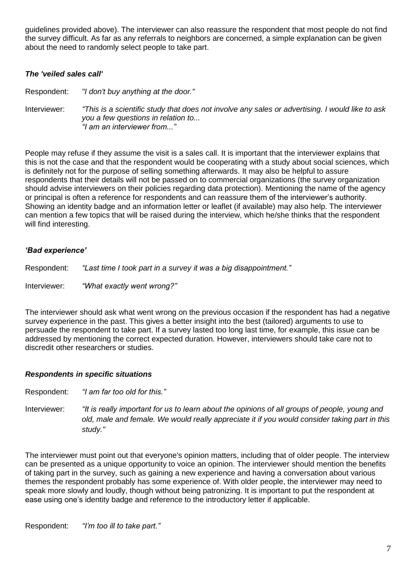guidelines provided above). The interviewer can also reassure the respondent that most people do not find the survey difficult. As far as any referrals to neighbors are concerned, a simple explanation can be given about the need to randomly select people to take part.

#### *The 'veiled sales call'*

Respondent: *"I don't buy anything at the door."*

Interviewer: *"This is a scientific study that does not involve any sales or advertising. I would like to ask you a few questions in relation to... "I am an interviewer from..."*

People may refuse if they assume the visit is a sales call. It is important that the interviewer explains that this is not the case and that the respondent would be cooperating with a study about social sciences, which is definitely not for the purpose of selling something afterwards. It may also be helpful to assure respondents that their details will not be passed on to commercial organizations (the survey organization should advise interviewers on their policies regarding data protection). Mentioning the name of the agency or principal is often a reference for respondents and can reassure them of the interviewer's authority. Showing an identity badge and an information letter or leaflet (if available) may also help. The interviewer can mention a few topics that will be raised during the interview, which he/she thinks that the respondent will find interesting.

#### *'Bad experience'*

Respondent: *"Last time I took part in a survey it was a big disappointment."*

Interviewer: *"What exactly went wrong?"*

The interviewer should ask what went wrong on the previous occasion if the respondent has had a negative survey experience in the past. This gives a better insight into the best (tailored) arguments to use to persuade the respondent to take part. If a survey lasted too long last time, for example, this issue can be addressed by mentioning the correct expected duration. However, interviewers should take care not to discredit other researchers or studies.

#### *Respondents in specific situations*

Respondent: *"I am far too old for this."*

Interviewer: *"It is really important for us to learn about the opinions of all groups of people, young and old, male and female. We would really appreciate it if you would consider taking part in this study."*

The interviewer must point out that everyone's opinion matters, including that of older people. The interview can be presented as a unique opportunity to voice an opinion. The interviewer should mention the benefits of taking part in the survey, such as gaining a new experience and having a conversation about various themes the respondent probably has some experience of. With older people, the interviewer may need to speak more slowly and loudly, though without being patronizing. It is important to put the respondent at ease using one's identity badge and reference to the introductory letter if applicable.

Respondent: *"I'm too ill to take part."*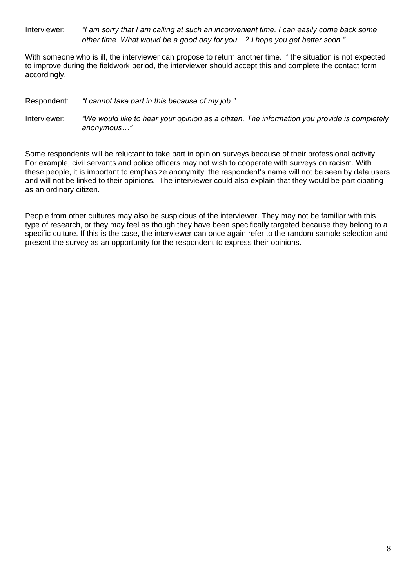Interviewer: *"I am sorry that I am calling at such an inconvenient time. I can easily come back some other time. What would be a good day for you…? I hope you get better soon."*

With someone who is ill, the interviewer can propose to return another time. If the situation is not expected to improve during the fieldwork period, the interviewer should accept this and complete the contact form accordingly.

Respondent: *"I cannot take part in this because of my job."*

Interviewer: *"We would like to hear your opinion as a citizen. The information you provide is completely anonymous…"*

Some respondents will be reluctant to take part in opinion surveys because of their professional activity. For example, civil servants and police officers may not wish to cooperate with surveys on racism. With these people, it is important to emphasize anonymity: the respondent's name will not be seen by data users and will not be linked to their opinions. The interviewer could also explain that they would be participating as an ordinary citizen.

People from other cultures may also be suspicious of the interviewer. They may not be familiar with this type of research, or they may feel as though they have been specifically targeted because they belong to a specific culture. If this is the case, the interviewer can once again refer to the random sample selection and present the survey as an opportunity for the respondent to express their opinions.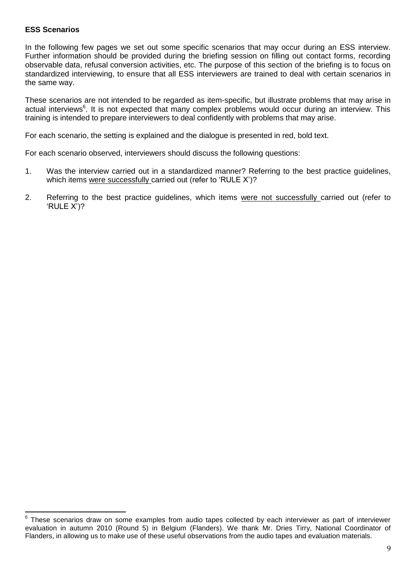#### **ESS Scenarios**

In the following few pages we set out some specific scenarios that may occur during an ESS interview. Further information should be provided during the briefing session on filling out contact forms, recording observable data, refusal conversion activities, etc. The purpose of this section of the briefing is to focus on standardized interviewing, to ensure that all ESS interviewers are trained to deal with certain scenarios in the same way.

These scenarios are not intended to be regarded as item-specific, but illustrate problems that may arise in actual interviews<sup>6</sup>. It is not expected that many complex problems would occur during an interview. This training is intended to prepare interviewers to deal confidently with problems that may arise.

For each scenario, the setting is explained and the dialogue is presented in red, bold text.

For each scenario observed, interviewers should discuss the following questions:

- 1. Was the interview carried out in a standardized manner? Referring to the best practice guidelines, which items were successfully carried out (refer to 'RULE X')?
- 2. Referring to the best practice guidelines, which items were not successfully carried out (refer to 'RULE X')?

 6 These scenarios draw on some examples from audio tapes collected by each interviewer as part of interviewer evaluation in autumn 2010 (Round 5) in Belgium (Flanders). We thank Mr. Dries Tirry, National Coordinator of Flanders, in allowing us to make use of these useful observations from the audio tapes and evaluation materials.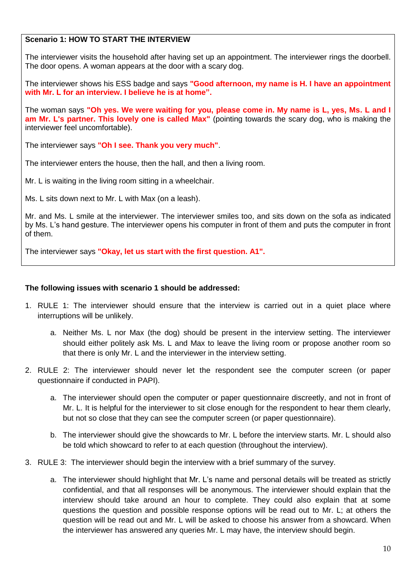## **Scenario 1: HOW TO START THE INTERVIEW**

The interviewer visits the household after having set up an appointment. The interviewer rings the doorbell. The door opens. A woman appears at the door with a scary dog.

The interviewer shows his ESS badge and says **"Good afternoon, my name is H. I have an appointment with Mr. L for an interview. I believe he is at home".**

The woman says **"Oh yes. We were waiting for you, please come in. My name is L, yes, Ms. L and I am Mr. L's partner. This lovely one is called Max"** (pointing towards the scary dog, who is making the interviewer feel uncomfortable).

The interviewer says **"Oh I see. Thank you very much"**.

The interviewer enters the house, then the hall, and then a living room.

Mr. L is waiting in the living room sitting in a wheelchair.

Ms. L sits down next to Mr. L with Max (on a leash).

Mr. and Ms. L smile at the interviewer. The interviewer smiles too, and sits down on the sofa as indicated by Ms. L's hand gesture. The interviewer opens his computer in front of them and puts the computer in front of them.

The interviewer says **"Okay, let us start with the first question. A1".**

#### **The following issues with scenario 1 should be addressed:**

- 1. RULE 1: The interviewer should ensure that the interview is carried out in a quiet place where interruptions will be unlikely.
	- a. Neither Ms. L nor Max (the dog) should be present in the interview setting. The interviewer should either politely ask Ms. L and Max to leave the living room or propose another room so that there is only Mr. L and the interviewer in the interview setting.
- 2. RULE 2: The interviewer should never let the respondent see the computer screen (or paper questionnaire if conducted in PAPI).
	- a. The interviewer should open the computer or paper questionnaire discreetly, and not in front of Mr. L. It is helpful for the interviewer to sit close enough for the respondent to hear them clearly, but not so close that they can see the computer screen (or paper questionnaire).
	- b. The interviewer should give the showcards to Mr. L before the interview starts. Mr. L should also be told which showcard to refer to at each question (throughout the interview).
- 3. RULE 3: The interviewer should begin the interview with a brief summary of the survey.
	- a. The interviewer should highlight that Mr. L's name and personal details will be treated as strictly confidential, and that all responses will be anonymous. The interviewer should explain that the interview should take around an hour to complete. They could also explain that at some questions the question and possible response options will be read out to Mr. L; at others the question will be read out and Mr. L will be asked to choose his answer from a showcard. When the interviewer has answered any queries Mr. L may have, the interview should begin.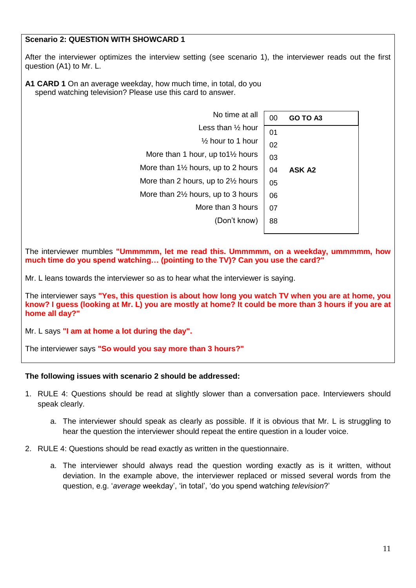## **Scenario 2: QUESTION WITH SHOWCARD 1**

After the interviewer optimizes the interview setting (see scenario 1), the interviewer reads out the first question (A1) to Mr. L.

**A1 CARD 1** On an average weekday, how much time, in total, do you spend watching television? Please use this card to answer.

| No time at all                                | 00 | GO TO A3      |
|-----------------------------------------------|----|---------------|
| Less than $\frac{1}{2}$ hour                  | 01 |               |
| $\frac{1}{2}$ hour to 1 hour                  | 02 |               |
| More than 1 hour, up to $1\frac{1}{2}$ hours  | 03 |               |
| More than $1\frac{1}{2}$ hours, up to 2 hours | 04 | <b>ASK A2</b> |
| More than 2 hours, up to $2\frac{1}{2}$ hours | 05 |               |
| More than $2\frac{1}{2}$ hours, up to 3 hours | 06 |               |
| More than 3 hours                             | 07 |               |
| (Don't know)                                  | 88 |               |

The interviewer mumbles **"Ummmmm, let me read this. Ummmmm, on a weekday, ummmmm, how much time do you spend watching… (pointing to the TV)? Can you use the card?"**

Mr. L leans towards the interviewer so as to hear what the interviewer is saying.

The interviewer says **"Yes, this question is about how long you watch TV when you are at home, you know? I guess (looking at Mr. L) you are mostly at home? It could be more than 3 hours if you are at home all day?"**

Mr. L says **"I am at home a lot during the day".**

The interviewer says **"So would you say more than 3 hours?"**

#### **The following issues with scenario 2 should be addressed:**

- 1. RULE 4: Questions should be read at slightly slower than a conversation pace. Interviewers should speak clearly.
	- a. The interviewer should speak as clearly as possible. If it is obvious that Mr. L is struggling to hear the question the interviewer should repeat the entire question in a louder voice.
- 2. RULE 4: Questions should be read exactly as written in the questionnaire.
	- a. The interviewer should always read the question wording exactly as is it written, without deviation. In the example above, the interviewer replaced or missed several words from the question, e.g. '*average* weekday', 'in total', 'do you spend watching *television*?'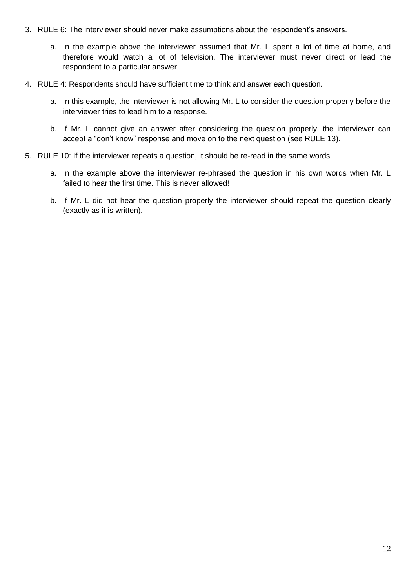- 3. RULE 6: The interviewer should never make assumptions about the respondent's answers.
	- a. In the example above the interviewer assumed that Mr. L spent a lot of time at home, and therefore would watch a lot of television. The interviewer must never direct or lead the respondent to a particular answer
- 4. RULE 4: Respondents should have sufficient time to think and answer each question.
	- a. In this example, the interviewer is not allowing Mr. L to consider the question properly before the interviewer tries to lead him to a response.
	- b. If Mr. L cannot give an answer after considering the question properly, the interviewer can accept a "don't know" response and move on to the next question (see RULE 13).
- 5. RULE 10: If the interviewer repeats a question, it should be re-read in the same words
	- a. In the example above the interviewer re-phrased the question in his own words when Mr. L failed to hear the first time. This is never allowed!
	- b. If Mr. L did not hear the question properly the interviewer should repeat the question clearly (exactly as it is written).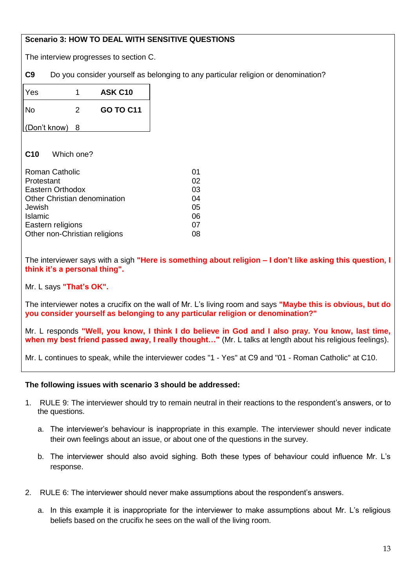## **Scenario 3: HOW TO DEAL WITH SENSITIVE QUESTIONS**

The interview progresses to section C.

**C9** Do you consider yourself as belonging to any particular religion or denomination?

| Yes          | 1 | <b>ASK C10</b>   |
|--------------|---|------------------|
| No           | 2 | <b>GO TO C11</b> |
| (Don't know) | 8 |                  |

## **C10** Which one?

| <b>Roman Catholic</b>         | 01 |
|-------------------------------|----|
| Protestant                    | 02 |
| Eastern Orthodox              | 03 |
| Other Christian denomination  | 04 |
| Jewish                        | 05 |
| Islamic                       | 06 |
| Eastern religions             | 07 |
| Other non-Christian religions | 08 |

The interviewer says with a sigh **"Here is something about religion – I don't like asking this question, I think it's a personal thing".**

Mr. L says **"That's OK".**

The interviewer notes a crucifix on the wall of Mr. L's living room and says **"Maybe this is obvious, but do you consider yourself as belonging to any particular religion or denomination?"**

Mr. L responds **"Well, you know, I think I do believe in God and I also pray. You know, last time, when my best friend passed away, I really thought…"** (Mr. L talks at length about his religious feelings).

Mr. L continues to speak, while the interviewer codes "1 - Yes" at C9 and "01 - Roman Catholic" at C10.

## **The following issues with scenario 3 should be addressed:**

- 1. RULE 9: The interviewer should try to remain neutral in their reactions to the respondent's answers, or to the questions.
	- a. The interviewer's behaviour is inappropriate in this example. The interviewer should never indicate their own feelings about an issue, or about one of the questions in the survey.
	- b. The interviewer should also avoid sighing. Both these types of behaviour could influence Mr. L's response.
- 2. RULE 6: The interviewer should never make assumptions about the respondent's answers.
	- a. In this example it is inappropriate for the interviewer to make assumptions about Mr. L's religious beliefs based on the crucifix he sees on the wall of the living room.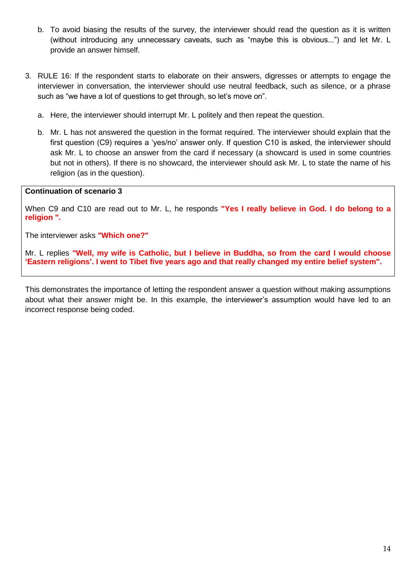- b. To avoid biasing the results of the survey, the interviewer should read the question as it is written (without introducing any unnecessary caveats, such as "maybe this is obvious...") and let Mr. L provide an answer himself.
- 3. RULE 16: If the respondent starts to elaborate on their answers, digresses or attempts to engage the interviewer in conversation, the interviewer should use neutral feedback, such as silence, or a phrase such as "we have a lot of questions to get through, so let's move on".
	- a. Here, the interviewer should interrupt Mr. L politely and then repeat the question.
	- b. Mr. L has not answered the question in the format required. The interviewer should explain that the first question (C9) requires a 'yes/no' answer only. If question C10 is asked, the interviewer should ask Mr. L to choose an answer from the card if necessary (a showcard is used in some countries but not in others). If there is no showcard, the interviewer should ask Mr. L to state the name of his religion (as in the question).

#### **Continuation of scenario 3**

When C9 and C10 are read out to Mr. L, he responds **"Yes I really believe in God. I do belong to a religion ".**

The interviewer asks **"Which one?"**

Mr. L replies **"Well, my wife is Catholic, but I believe in Buddha, so from the card I would choose 'Eastern religions'. I went to Tibet five years ago and that really changed my entire belief system".**

This demonstrates the importance of letting the respondent answer a question without making assumptions about what their answer might be. In this example, the interviewer's assumption would have led to an incorrect response being coded.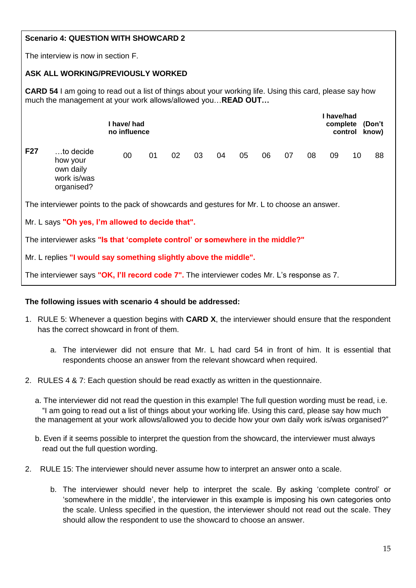## **Scenario 4: QUESTION WITH SHOWCARD 2**

The interview is now in section F.

## **ASK ALL WORKING/PREVIOUSLY WORKED**

**CARD 54** I am going to read out a list of things about your working life. Using this card, please say how much the management at your work allows/allowed you…**READ OUT…**

|            | l have/ had<br>no influence                                                                              |    |    |    |    |    |    |    |    |    | I have/had<br>complete | (Don't<br>know)<br>control |    |  |
|------------|----------------------------------------------------------------------------------------------------------|----|----|----|----|----|----|----|----|----|------------------------|----------------------------|----|--|
| <b>F27</b> | to decide<br>how your<br>own daily<br>work is/was<br>organised?                                          | 00 | 01 | 02 | 03 | 04 | 05 | 06 | 07 | 08 | 09                     | 10                         | 88 |  |
|            | The intensiation points to the pools of chouserde and goot was far $M_{\text{R}}$ L to choose an appurer |    |    |    |    |    |    |    |    |    |                        |                            |    |  |

The interviewer points to the pack of showcards and gestures for Mr. L to choose an answer.

Mr. L says **"Oh yes, I'm allowed to decide that".**

The interviewer asks **"Is that 'complete control' or somewhere in the middle?"**

Mr. L replies **"I would say something slightly above the middle".**

The interviewer says **"OK, I'll record code 7".** The interviewer codes Mr. L's response as 7.

## **The following issues with scenario 4 should be addressed:**

- 1. RULE 5: Whenever a question begins with **CARD X**, the interviewer should ensure that the respondent has the correct showcard in front of them.
	- a. The interviewer did not ensure that Mr. L had card 54 in front of him. It is essential that respondents choose an answer from the relevant showcard when required.
- 2. RULES 4 & 7: Each question should be read exactly as written in the questionnaire.

a. The interviewer did not read the question in this example! The full question wording must be read, i.e. "I am going to read out a list of things about your working life. Using this card, please say how much the management at your work allows/allowed you to decide how your own daily work is/was organised?"

- b. Even if it seems possible to interpret the question from the showcard, the interviewer must always read out the full question wording.
- 2. RULE 15: The interviewer should never assume how to interpret an answer onto a scale.
	- b. The interviewer should never help to interpret the scale. By asking 'complete control' or 'somewhere in the middle', the interviewer in this example is imposing his own categories onto the scale. Unless specified in the question, the interviewer should not read out the scale. They should allow the respondent to use the showcard to choose an answer.